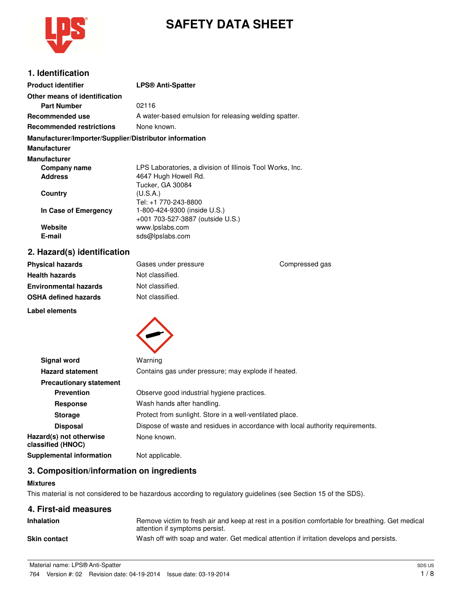

# **SAFETY DATA SHEET**

### **1. Identification**

| <b>Product identifier</b>                              | <b>LPS® Anti-Spatter</b>                                  |
|--------------------------------------------------------|-----------------------------------------------------------|
| Other means of identification                          |                                                           |
| <b>Part Number</b>                                     | 02116                                                     |
| Recommended use                                        | A water-based emulsion for releasing welding spatter.     |
| <b>Recommended restrictions</b>                        | None known.                                               |
| Manufacturer/Importer/Supplier/Distributor information |                                                           |
| <b>Manufacturer</b>                                    |                                                           |
| <b>Manufacturer</b>                                    |                                                           |
| Company name                                           | LPS Laboratories, a division of Illinois Tool Works, Inc. |
| <b>Address</b>                                         | 4647 Hugh Howell Rd.                                      |
|                                                        | Tucker, GA 30084                                          |
| Country                                                | (U.S.A.)                                                  |
|                                                        | Tel: +1 770-243-8800                                      |
| In Case of Emergency                                   | 1-800-424-9300 (inside U.S.)                              |
|                                                        | +001 703-527-3887 (outside U.S.)                          |
| Website                                                | www.lpslabs.com                                           |
| E-mail                                                 | sds@lpslabs.com                                           |

# **2. Hazard(s) identification**

| <b>Physical hazards</b>      | Gases under pressure | Compressed gas |
|------------------------------|----------------------|----------------|
| <b>Health hazards</b>        | Not classified.      |                |
| <b>Environmental hazards</b> | Not classified.      |                |
| <b>OSHA defined hazards</b>  | Not classified.      |                |
| Label elements               |                      |                |



| <b>Signal word</b>                           | Warning                                                                        |
|----------------------------------------------|--------------------------------------------------------------------------------|
| <b>Hazard statement</b>                      | Contains gas under pressure; may explode if heated.                            |
| <b>Precautionary statement</b>               |                                                                                |
| <b>Prevention</b>                            | Observe good industrial hygiene practices.                                     |
| <b>Response</b>                              | Wash hands after handling.                                                     |
| <b>Storage</b>                               | Protect from sunlight. Store in a well-ventilated place.                       |
| <b>Disposal</b>                              | Dispose of waste and residues in accordance with local authority requirements. |
| Hazard(s) not otherwise<br>classified (HNOC) | None known.                                                                    |
| <b>Supplemental information</b>              | Not applicable.                                                                |

### **3. Composition/information on ingredients**

#### **Mixtures**

This material is not considered to be hazardous according to regulatory guidelines (see Section 15 of the SDS).

### **4. First-aid measures**

| <b>Inhalation</b>   | Remove victim to fresh air and keep at rest in a position comfortable for breathing. Get medical<br>attention if symptoms persist. |
|---------------------|------------------------------------------------------------------------------------------------------------------------------------|
| <b>Skin contact</b> | Wash off with soap and water. Get medical attention if irritation develops and persists.                                           |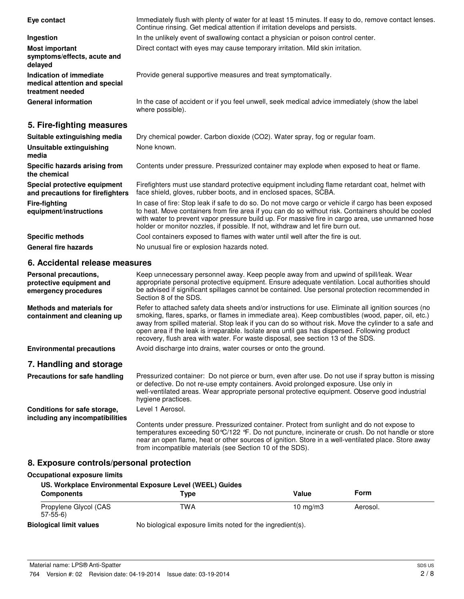| Eye contact                                                                  | Immediately flush with plenty of water for at least 15 minutes. If easy to do, remove contact lenses.<br>Continue rinsing. Get medical attention if irritation develops and persists.                                                                                                                                                                                                                                                                                                                 |
|------------------------------------------------------------------------------|-------------------------------------------------------------------------------------------------------------------------------------------------------------------------------------------------------------------------------------------------------------------------------------------------------------------------------------------------------------------------------------------------------------------------------------------------------------------------------------------------------|
| Ingestion                                                                    | In the unlikely event of swallowing contact a physician or poison control center.                                                                                                                                                                                                                                                                                                                                                                                                                     |
| <b>Most important</b><br>symptoms/effects, acute and<br>delayed              | Direct contact with eyes may cause temporary irritation. Mild skin irritation.                                                                                                                                                                                                                                                                                                                                                                                                                        |
| Indication of immediate<br>medical attention and special<br>treatment needed | Provide general supportive measures and treat symptomatically.                                                                                                                                                                                                                                                                                                                                                                                                                                        |
| <b>General information</b>                                                   | In the case of accident or if you feel unwell, seek medical advice immediately (show the label<br>where possible).                                                                                                                                                                                                                                                                                                                                                                                    |
| 5. Fire-fighting measures                                                    |                                                                                                                                                                                                                                                                                                                                                                                                                                                                                                       |
| Suitable extinguishing media                                                 | Dry chemical powder. Carbon dioxide (CO2). Water spray, fog or regular foam.                                                                                                                                                                                                                                                                                                                                                                                                                          |
| Unsuitable extinguishing<br>media                                            | None known.                                                                                                                                                                                                                                                                                                                                                                                                                                                                                           |
| Specific hazards arising from<br>the chemical                                | Contents under pressure. Pressurized container may explode when exposed to heat or flame.                                                                                                                                                                                                                                                                                                                                                                                                             |
| Special protective equipment<br>and precautions for firefighters             | Firefighters must use standard protective equipment including flame retardant coat, helmet with<br>face shield, gloves, rubber boots, and in enclosed spaces, SCBA.                                                                                                                                                                                                                                                                                                                                   |
| <b>Fire-fighting</b><br>equipment/instructions                               | In case of fire: Stop leak if safe to do so. Do not move cargo or vehicle if cargo has been exposed<br>to heat. Move containers from fire area if you can do so without risk. Containers should be cooled<br>with water to prevent vapor pressure build up. For massive fire in cargo area, use unmanned hose<br>holder or monitor nozzles, if possible. If not, withdraw and let fire burn out.                                                                                                      |
| <b>Specific methods</b>                                                      | Cool containers exposed to flames with water until well after the fire is out.                                                                                                                                                                                                                                                                                                                                                                                                                        |
| <b>General fire hazards</b>                                                  | No unusual fire or explosion hazards noted.                                                                                                                                                                                                                                                                                                                                                                                                                                                           |
| 6. Accidental release measures                                               |                                                                                                                                                                                                                                                                                                                                                                                                                                                                                                       |
| Personal precautions,<br>protective equipment and<br>emergency procedures    | Keep unnecessary personnel away. Keep people away from and upwind of spill/leak. Wear<br>appropriate personal protective equipment. Ensure adequate ventilation. Local authorities should<br>be advised if significant spillages cannot be contained. Use personal protection recommended in<br>Section 8 of the SDS.                                                                                                                                                                                 |
| <b>Methods and materials for</b><br>containment and cleaning up              | Refer to attached safety data sheets and/or instructions for use. Eliminate all ignition sources (no<br>smoking, flares, sparks, or flames in immediate area). Keep combustibles (wood, paper, oil, etc.)<br>away from spilled material. Stop leak if you can do so without risk. Move the cylinder to a safe and<br>open area if the leak is irreparable. Isolate area until gas has dispersed. Following product<br>recovery, flush area with water. For waste disposal, see section 13 of the SDS. |
| <b>Environmental precautions</b>                                             | Avoid discharge into drains, water courses or onto the ground.                                                                                                                                                                                                                                                                                                                                                                                                                                        |
| 7. Handling and storage                                                      |                                                                                                                                                                                                                                                                                                                                                                                                                                                                                                       |
| Precautions for safe handling                                                | Pressurized container: Do not pierce or burn, even after use. Do not use if spray button is missing<br>or defective. Do not re-use empty containers. Avoid prolonged exposure. Use only in<br>well-ventilated areas. Wear appropriate personal protective equipment. Observe good industrial<br>hygiene practices.                                                                                                                                                                                    |
| Conditions for safe storage,                                                 | Level 1 Aerosol.                                                                                                                                                                                                                                                                                                                                                                                                                                                                                      |
| including any incompatibilities                                              | Contents under pressure. Pressurized container. Protect from sunlight and do not expose to<br>temperatures exceeding 50 °C/122 °F. Do not puncture, incinerate or crush. Do not handle or store<br>near an open flame, heat or other sources of ignition. Store in a well-ventilated place. Store away<br>from incompatible materials (see Section 10 of the SDS).                                                                                                                                    |

# **8. Exposure controls/personal protection**

## **Occupational exposure limits**

| US. Workplace Environmental Exposure Level (WEEL) Guides |                                                            |            |          |  |
|----------------------------------------------------------|------------------------------------------------------------|------------|----------|--|
| <b>Components</b>                                        | Type                                                       | Value      | Form     |  |
| Propylene Glycol (CAS<br>$57-55-6$                       | TWA                                                        | 10 $mq/m3$ | Aerosol. |  |
| <b>Biological limit values</b>                           | No biological exposure limits noted for the ingredient(s). |            |          |  |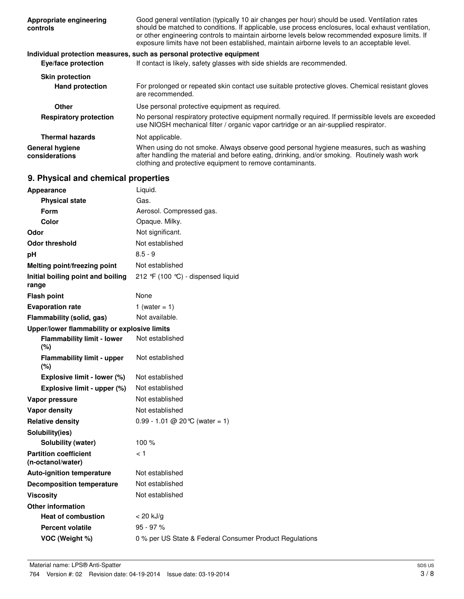| Appropriate engineering<br>controls | Good general ventilation (typically 10 air changes per hour) should be used. Ventilation rates<br>should be matched to conditions. If applicable, use process enclosures, local exhaust ventilation,<br>or other engineering controls to maintain airborne levels below recommended exposure limits. If<br>exposure limits have not been established, maintain airborne levels to an acceptable level. |
|-------------------------------------|--------------------------------------------------------------------------------------------------------------------------------------------------------------------------------------------------------------------------------------------------------------------------------------------------------------------------------------------------------------------------------------------------------|
|                                     | Individual protection measures, such as personal protective equipment                                                                                                                                                                                                                                                                                                                                  |
| Eye/face protection                 | If contact is likely, safety glasses with side shields are recommended.                                                                                                                                                                                                                                                                                                                                |
| <b>Skin protection</b>              |                                                                                                                                                                                                                                                                                                                                                                                                        |
| <b>Hand protection</b>              | For prolonged or repeated skin contact use suitable protective gloves. Chemical resistant gloves<br>are recommended.                                                                                                                                                                                                                                                                                   |
| Other                               | Use personal protective equipment as required.                                                                                                                                                                                                                                                                                                                                                         |
| <b>Respiratory protection</b>       | No personal respiratory protective equipment normally required. If permissible levels are exceeded<br>use NIOSH mechanical filter / organic vapor cartridge or an air-supplied respirator.                                                                                                                                                                                                             |
| <b>Thermal hazards</b>              | Not applicable.                                                                                                                                                                                                                                                                                                                                                                                        |
| General hygiene<br>considerations   | When using do not smoke. Always observe good personal hygiene measures, such as washing<br>after handling the material and before eating, drinking, and/or smoking. Routinely wash work<br>clothing and protective equipment to remove contaminants.                                                                                                                                                   |

# **9. Physical and chemical properties**

|    | <b>Appearance</b>                                 | Liquid.                                                 |
|----|---------------------------------------------------|---------------------------------------------------------|
|    | <b>Physical state</b>                             | Gas.                                                    |
|    | <b>Form</b>                                       | Aerosol. Compressed gas.                                |
|    | Color                                             | Opaque. Milky.                                          |
|    | Odor                                              | Not significant.                                        |
|    | <b>Odor threshold</b>                             | Not established                                         |
| рH |                                                   | $8.5 - 9$                                               |
|    | Melting point/freezing point                      | Not established                                         |
|    | Initial boiling point and boiling<br>range        | 212 °F (100 °C) - dispensed liquid                      |
|    | <b>Flash point</b>                                | None                                                    |
|    | <b>Evaporation rate</b>                           | 1 (water = $1$ )                                        |
|    | Flammability (solid, gas)                         | Not available.                                          |
|    | Upper/lower flammability or explosive limits      |                                                         |
|    | <b>Flammability limit - lower</b><br>(%)          | Not established                                         |
|    | <b>Flammability limit - upper</b><br>$(\% )$      | Not established                                         |
|    | Explosive limit - lower (%)                       | Not established                                         |
|    | Explosive limit - upper (%)                       | Not established                                         |
|    | Vapor pressure                                    | Not established                                         |
|    | <b>Vapor density</b>                              | Not established                                         |
|    | <b>Relative density</b>                           | $0.99 - 1.01 \ @ 20^{\circ}C$ (water = 1)               |
|    | Solubility(ies)                                   |                                                         |
|    | Solubility (water)                                | 100 $%$                                                 |
|    | <b>Partition coefficient</b><br>(n-octanol/water) | ا >                                                     |
|    | <b>Auto-ignition temperature</b>                  | Not established                                         |
|    | <b>Decomposition temperature</b>                  | Not established                                         |
|    | <b>Viscosity</b>                                  | Not established                                         |
|    | <b>Other information</b>                          |                                                         |
|    | <b>Heat of combustion</b>                         | $< 20$ kJ/g                                             |
|    | <b>Percent volatile</b>                           | $95 - 97 %$                                             |
|    | VOC (Weight %)                                    | 0 % per US State & Federal Consumer Product Regulations |
|    |                                                   |                                                         |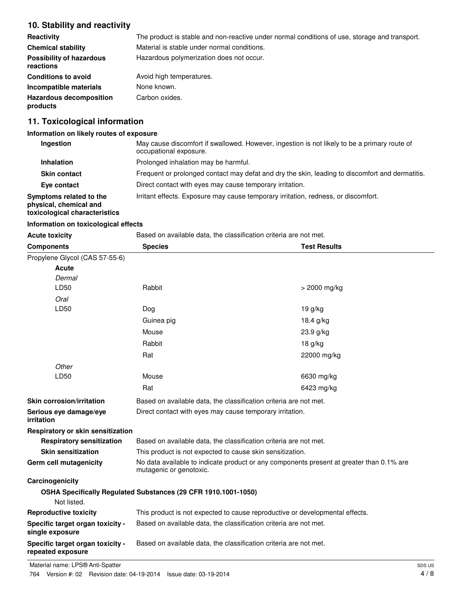### **10. Stability and reactivity**

| <b>Reactivity</b>                            | The product is stable and non-reactive under normal conditions of use, storage and transport. |
|----------------------------------------------|-----------------------------------------------------------------------------------------------|
| <b>Chemical stability</b>                    | Material is stable under normal conditions.                                                   |
| <b>Possibility of hazardous</b><br>reactions | Hazardous polymerization does not occur.                                                      |
| <b>Conditions to avoid</b>                   | Avoid high temperatures.                                                                      |
| Incompatible materials                       | None known.                                                                                   |
| <b>Hazardous decomposition</b><br>products   | Carbon oxides.                                                                                |

# **11. Toxicological information**

### **Information on likely routes of exposure**

| Ingestion                                                                          | May cause discomfort if swallowed. However, ingestion is not likely to be a primary route of<br>occupational exposure. |
|------------------------------------------------------------------------------------|------------------------------------------------------------------------------------------------------------------------|
| Inhalation                                                                         | Prolonged inhalation may be harmful.                                                                                   |
| <b>Skin contact</b>                                                                | Frequent or prolonged contact may defat and dry the skin, leading to discomfort and dermatitis.                        |
| Eye contact                                                                        | Direct contact with eyes may cause temporary irritation.                                                               |
| Symptoms related to the<br>physical, chemical and<br>toxicological characteristics | Irritant effects. Exposure may cause temporary irritation, redness, or discomfort.                                     |
|                                                                                    |                                                                                                                        |

### **Information on toxicological effects**

| <b>Acute toxicity</b>                                 | Based on available data, the classification criteria are not met.                                                   |                     |
|-------------------------------------------------------|---------------------------------------------------------------------------------------------------------------------|---------------------|
| <b>Components</b>                                     | <b>Species</b>                                                                                                      | <b>Test Results</b> |
| Propylene Glycol (CAS 57-55-6)                        |                                                                                                                     |                     |
| Acute                                                 |                                                                                                                     |                     |
| Dermal                                                |                                                                                                                     |                     |
| LD50                                                  | Rabbit                                                                                                              | $> 2000$ mg/kg      |
| Oral                                                  |                                                                                                                     |                     |
| LD50                                                  | Dog                                                                                                                 | 19 g/kg             |
|                                                       | Guinea pig                                                                                                          | 18.4 g/kg           |
|                                                       | Mouse                                                                                                               | 23.9 g/kg           |
|                                                       | Rabbit                                                                                                              | 18 g/kg             |
|                                                       | Rat                                                                                                                 | 22000 mg/kg         |
| Other                                                 |                                                                                                                     |                     |
| LD50                                                  | Mouse                                                                                                               | 6630 mg/kg          |
|                                                       | Rat                                                                                                                 | 6423 mg/kg          |
| Skin corrosion/irritation                             | Based on available data, the classification criteria are not met.                                                   |                     |
| Serious eye damage/eye<br>irritation                  | Direct contact with eyes may cause temporary irritation.                                                            |                     |
| Respiratory or skin sensitization                     |                                                                                                                     |                     |
| <b>Respiratory sensitization</b>                      | Based on available data, the classification criteria are not met.                                                   |                     |
| <b>Skin sensitization</b>                             | This product is not expected to cause skin sensitization.                                                           |                     |
| <b>Germ cell mutagenicity</b>                         | No data available to indicate product or any components present at greater than 0.1% are<br>mutagenic or genotoxic. |                     |
| Carcinogenicity                                       |                                                                                                                     |                     |
| Not listed.                                           | OSHA Specifically Regulated Substances (29 CFR 1910.1001-1050)                                                      |                     |
| <b>Reproductive toxicity</b>                          | This product is not expected to cause reproductive or developmental effects.                                        |                     |
| Specific target organ toxicity -<br>single exposure   | Based on available data, the classification criteria are not met.                                                   |                     |
| Specific target organ toxicity -<br>repeated exposure | Based on available data, the classification criteria are not met.                                                   |                     |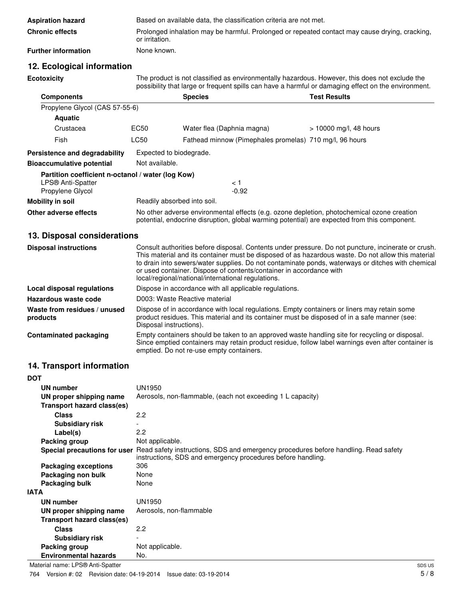| <b>Aspiration hazard</b>   | Based on available data, the classification criteria are not met.                                                |
|----------------------------|------------------------------------------------------------------------------------------------------------------|
| <b>Chronic effects</b>     | Prolonged inhalation may be harmful. Prolonged or repeated contact may cause drying, cracking,<br>or irritation. |
| <b>Further information</b> | None known.                                                                                                      |

# **12. Ecological information**

**Ecotoxicity** The product is not classified as environmentally hazardous. However, this does not exclude the possibility that large or frequent spills can have a harmful or damaging effect on the environment.

| <b>Components</b>                                 |                | <b>Species</b>                                                                                                                                                                             | <b>Test Results</b>    |
|---------------------------------------------------|----------------|--------------------------------------------------------------------------------------------------------------------------------------------------------------------------------------------|------------------------|
| Propylene Glycol (CAS 57-55-6)                    |                |                                                                                                                                                                                            |                        |
| <b>Aquatic</b>                                    |                |                                                                                                                                                                                            |                        |
| Crustacea                                         | EC50           | Water flea (Daphnia magna)                                                                                                                                                                 | > 10000 mg/l, 48 hours |
| Fish                                              | <b>LC50</b>    | Fathead minnow (Pimephales promelas) 710 mg/l, 96 hours                                                                                                                                    |                        |
| Persistence and degradability                     |                | Expected to biodegrade.                                                                                                                                                                    |                        |
| <b>Bioaccumulative potential</b>                  | Not available. |                                                                                                                                                                                            |                        |
| Partition coefficient n-octanol / water (log Kow) |                |                                                                                                                                                                                            |                        |
| LPS® Anti-Spatter                                 |                | < 1                                                                                                                                                                                        |                        |
| Propylene Glycol                                  |                | $-0.92$                                                                                                                                                                                    |                        |
| Mobility in soil                                  |                | Readily absorbed into soil.                                                                                                                                                                |                        |
| Other adverse effects                             |                | No other adverse environmental effects (e.g. ozone depletion, photochemical ozone creation<br>potential, endocrine disruption, global warming potential) are expected from this component. |                        |

### **13. Disposal considerations**

| <b>Disposal instructions</b>             | Consult authorities before disposal. Contents under pressure. Do not puncture, incinerate or crush.<br>This material and its container must be disposed of as hazardous waste. Do not allow this material<br>to drain into sewers/water supplies. Do not contaminate ponds, waterways or ditches with chemical<br>or used container. Dispose of contents/container in accordance with<br>local/regional/national/international regulations. |
|------------------------------------------|---------------------------------------------------------------------------------------------------------------------------------------------------------------------------------------------------------------------------------------------------------------------------------------------------------------------------------------------------------------------------------------------------------------------------------------------|
| Local disposal regulations               | Dispose in accordance with all applicable regulations.                                                                                                                                                                                                                                                                                                                                                                                      |
| Hazardous waste code                     | D003: Waste Reactive material                                                                                                                                                                                                                                                                                                                                                                                                               |
| Waste from residues / unused<br>products | Dispose of in accordance with local regulations. Empty containers or liners may retain some<br>product residues. This material and its container must be disposed of in a safe manner (see:<br>Disposal instructions).                                                                                                                                                                                                                      |
| <b>Contaminated packaging</b>            | Empty containers should be taken to an approved waste handling site for recycling or disposal.<br>Since emptied containers may retain product residue, follow label warnings even after container is<br>emptied. Do not re-use empty containers.                                                                                                                                                                                            |

# **14. Transport information**

| DOT                          |                                                                                                                                                                                 |
|------------------------------|---------------------------------------------------------------------------------------------------------------------------------------------------------------------------------|
| UN number                    | <b>UN1950</b>                                                                                                                                                                   |
| UN proper shipping name      | Aerosols, non-flammable, (each not exceeding 1 L capacity)                                                                                                                      |
| Transport hazard class(es)   |                                                                                                                                                                                 |
| <b>Class</b>                 | 2.2                                                                                                                                                                             |
| <b>Subsidiary risk</b>       |                                                                                                                                                                                 |
| Label(s)                     | 2.2                                                                                                                                                                             |
| Packing group                | Not applicable.                                                                                                                                                                 |
|                              | Special precautions for user Read safety instructions, SDS and emergency procedures before handling. Read safety<br>instructions, SDS and emergency procedures before handling. |
| <b>Packaging exceptions</b>  | 306                                                                                                                                                                             |
| Packaging non bulk           | None                                                                                                                                                                            |
| Packaging bulk               | None                                                                                                                                                                            |
| IATA                         |                                                                                                                                                                                 |
| UN number                    | UN1950                                                                                                                                                                          |
| UN proper shipping name      | Aerosols, non-flammable                                                                                                                                                         |
| Transport hazard class(es)   |                                                                                                                                                                                 |
| <b>Class</b>                 | 2.2                                                                                                                                                                             |
| Subsidiary risk              |                                                                                                                                                                                 |
| Packing group                | Not applicable.                                                                                                                                                                 |
| <b>Environmental hazards</b> | No.                                                                                                                                                                             |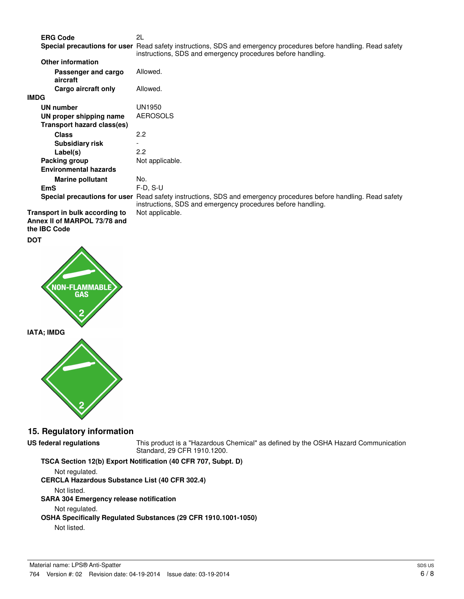**ERG Code** 2L

Special precautions for user Read safety instructions, SDS and emergency procedures before handling. Read safety instructions, SDS and emergency procedures before handling.

| Allowed.                                                                                                                                                                           |
|------------------------------------------------------------------------------------------------------------------------------------------------------------------------------------|
| Allowed.                                                                                                                                                                           |
|                                                                                                                                                                                    |
| UN1950                                                                                                                                                                             |
| <b>AEROSOLS</b>                                                                                                                                                                    |
|                                                                                                                                                                                    |
| 2.2                                                                                                                                                                                |
|                                                                                                                                                                                    |
| 2.2                                                                                                                                                                                |
| Not applicable.                                                                                                                                                                    |
|                                                                                                                                                                                    |
| No.                                                                                                                                                                                |
| $F-D. S-U$                                                                                                                                                                         |
| Read safety instructions, SDS and emergency procedures before handling. Read safety<br>Special precautions for user<br>instructions, SDS and emergency procedures before handling. |
| Not applicable.                                                                                                                                                                    |
|                                                                                                                                                                                    |

**Annex II of MARPOL 73/78 and the IBC Code**



### **15. Regulatory information**

**US federal regulations** This product is a "Hazardous Chemical" as defined by the OSHA Hazard Communication Standard, 29 CFR 1910.1200.

### **TSCA Section 12(b) Export Notification (40 CFR 707, Subpt. D)**

Not regulated. **CERCLA Hazardous Substance List (40 CFR 302.4)** Not listed. **SARA 304 Emergency release notification** Not regulated. **OSHA Specifically Regulated Substances (29 CFR 1910.1001-1050)** Not listed.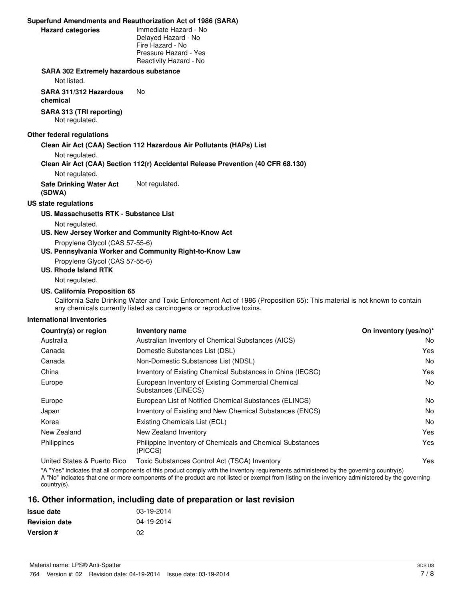#### **Superfund Amendments and Reauthorization Act of 1986 (SARA)**

| <b>Hazard categories</b> |  |
|--------------------------|--|

**Hazard categories** Immediate Hazard - No Delayed Hazard - No Fire Hazard - No Pressure Hazard - Yes Reactivity Hazard - No

#### **SARA 302 Extremely hazardous substance**

Not listed.

**SARA 311/312 Hazardous** No

**chemical**

**SARA 313 (TRI reporting)** Not regulated.

#### **Other federal regulations**

**Clean Air Act (CAA) Section 112 Hazardous Air Pollutants (HAPs) List**

Not regulated.

#### **Clean Air Act (CAA) Section 112(r) Accidental Release Prevention (40 CFR 68.130)**

Not regulated.

**Safe Drinking Water Act (SDWA)** Not regulated.

#### **US state regulations**

#### **US. Massachusetts RTK - Substance List**

Not regulated.

**US. New Jersey Worker and Community Right-to-Know Act**

Propylene Glycol (CAS 57-55-6)

#### **US. Pennsylvania Worker and Community Right-to-Know Law**

Propylene Glycol (CAS 57-55-6)

### **US. Rhode Island RTK**

Not regulated.

#### **US. California Proposition 65**

California Safe Drinking Water and Toxic Enforcement Act of 1986 (Proposition 65): This material is not known to contain any chemicals currently listed as carcinogens or reproductive toxins.

#### **International Inventories**

| Country(s) or region        | <b>Inventory name</b>                                                     | On inventory (yes/no)* |
|-----------------------------|---------------------------------------------------------------------------|------------------------|
| Australia                   | Australian Inventory of Chemical Substances (AICS)                        | No.                    |
| Canada                      | Domestic Substances List (DSL)                                            | Yes                    |
| Canada                      | Non-Domestic Substances List (NDSL)                                       | No.                    |
| China                       | Inventory of Existing Chemical Substances in China (IECSC)                | Yes                    |
| Europe                      | European Inventory of Existing Commercial Chemical<br>Substances (EINECS) | No.                    |
| Europe                      | European List of Notified Chemical Substances (ELINCS)                    | No.                    |
| Japan                       | Inventory of Existing and New Chemical Substances (ENCS)                  | No.                    |
| Korea                       | Existing Chemicals List (ECL)                                             | N <sub>o</sub>         |
| New Zealand                 | New Zealand Inventory                                                     | Yes                    |
| Philippines                 | Philippine Inventory of Chemicals and Chemical Substances<br>(PICCS)      | Yes                    |
| United States & Puerto Rico | Toxic Substances Control Act (TSCA) Inventory                             | Yes                    |

\*A "Yes" indicates that all components of this product comply with the inventory requirements administered by the governing country(s)

A "No" indicates that one or more components of the product are not listed or exempt from listing on the inventory administered by the governing country(s).

### **16. Other information, including date of preparation or last revision**

| <b>Issue date</b>    | 03-19-2014 |
|----------------------|------------|
| <b>Revision date</b> | 04-19-2014 |
| <b>Version #</b>     | 02         |